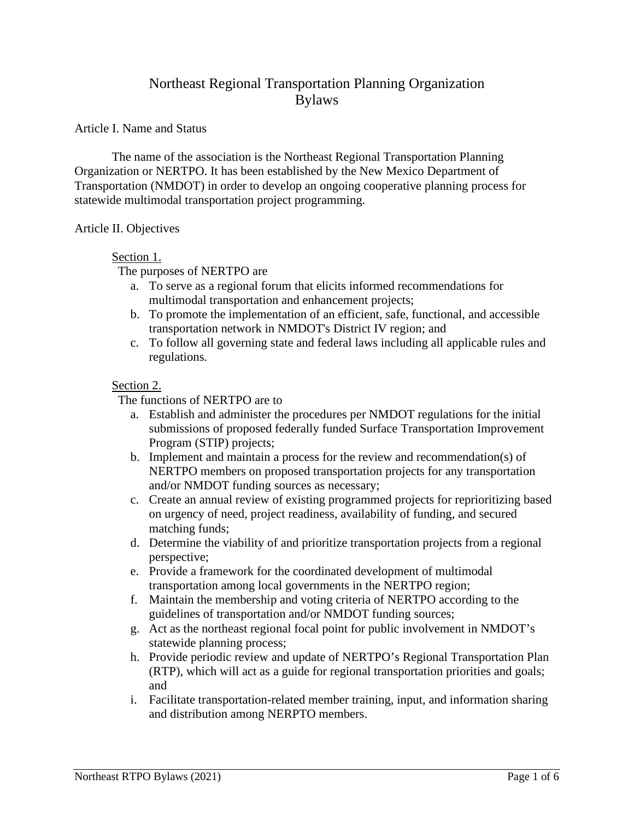# Northeast Regional Transportation Planning Organization Bylaws

#### Article I. Name and Status

The name of the association is the Northeast Regional Transportation Planning Organization or NERTPO. It has been established by the New Mexico Department of Transportation (NMDOT) in order to develop an ongoing cooperative planning process for statewide multimodal transportation project programming.

#### Article II. Objectives

#### Section 1.

The purposes of NERTPO are

- a. To serve as a regional forum that elicits informed recommendations for multimodal transportation and enhancement projects;
- b. To promote the implementation of an efficient, safe, functional, and accessible transportation network in NMDOT's District IV region; and
- c. To follow all governing state and federal laws including all applicable rules and regulations.

#### Section 2.

The functions of NERTPO are to

- a. Establish and administer the procedures per NMDOT regulations for the initial submissions of proposed federally funded Surface Transportation Improvement Program (STIP) projects;
- b. Implement and maintain a process for the review and recommendation(s) of NERTPO members on proposed transportation projects for any transportation and/or NMDOT funding sources as necessary;
- c. Create an annual review of existing programmed projects for reprioritizing based on urgency of need, project readiness, availability of funding, and secured matching funds;
- d. Determine the viability of and prioritize transportation projects from a regional perspective;
- e. Provide a framework for the coordinated development of multimodal transportation among local governments in the NERTPO region;
- f. Maintain the membership and voting criteria of NERTPO according to the guidelines of transportation and/or NMDOT funding sources;
- g. Act as the northeast regional focal point for public involvement in NMDOT's statewide planning process;
- h. Provide periodic review and update of NERTPO's Regional Transportation Plan (RTP), which will act as a guide for regional transportation priorities and goals; and
- i. Facilitate transportation-related member training, input, and information sharing and distribution among NERPTO members.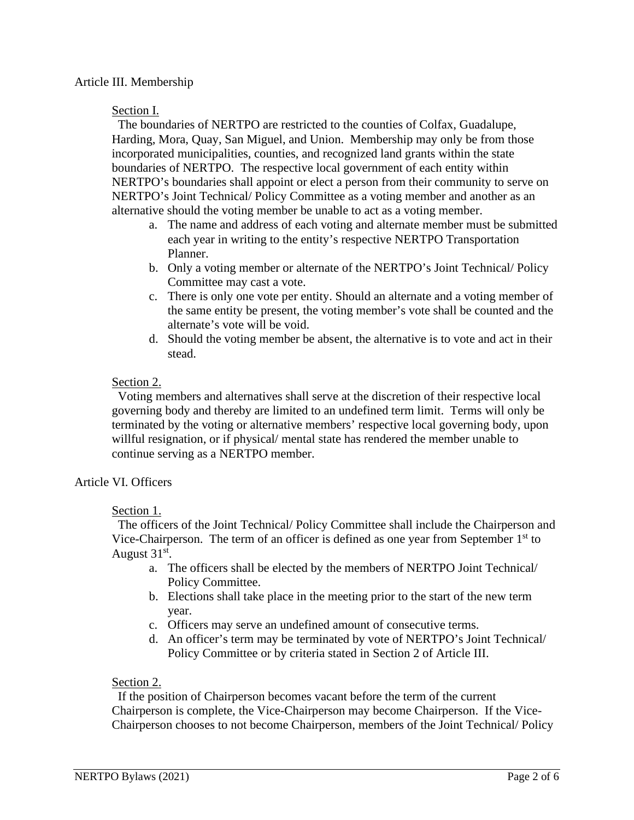### Article III. Membership

### Section I.

 The boundaries of NERTPO are restricted to the counties of Colfax, Guadalupe, Harding, Mora, Quay, San Miguel, and Union. Membership may only be from those incorporated municipalities, counties, and recognized land grants within the state boundaries of NERTPO. The respective local government of each entity within NERTPO's boundaries shall appoint or elect a person from their community to serve on NERTPO's Joint Technical/ Policy Committee as a voting member and another as an alternative should the voting member be unable to act as a voting member.

- a. The name and address of each voting and alternate member must be submitted each year in writing to the entity's respective NERTPO Transportation Planner.
- b. Only a voting member or alternate of the NERTPO's Joint Technical/ Policy Committee may cast a vote.
- c. There is only one vote per entity. Should an alternate and a voting member of the same entity be present, the voting member's vote shall be counted and the alternate's vote will be void.
- d. Should the voting member be absent, the alternative is to vote and act in their stead.

### Section 2.

 Voting members and alternatives shall serve at the discretion of their respective local governing body and thereby are limited to an undefined term limit. Terms will only be terminated by the voting or alternative members' respective local governing body, upon willful resignation, or if physical/ mental state has rendered the member unable to continue serving as a NERTPO member.

### Article VI. Officers

### Section 1.

 The officers of the Joint Technical/ Policy Committee shall include the Chairperson and Vice-Chairperson. The term of an officer is defined as one year from September  $1<sup>st</sup>$  to August  $31<sup>st</sup>$ .

- a. The officers shall be elected by the members of NERTPO Joint Technical/ Policy Committee.
- b. Elections shall take place in the meeting prior to the start of the new term year.
- c. Officers may serve an undefined amount of consecutive terms.
- d. An officer's term may be terminated by vote of NERTPO's Joint Technical/ Policy Committee or by criteria stated in Section 2 of Article III.

### Section 2.

 If the position of Chairperson becomes vacant before the term of the current Chairperson is complete, the Vice-Chairperson may become Chairperson. If the Vice-Chairperson chooses to not become Chairperson, members of the Joint Technical/ Policy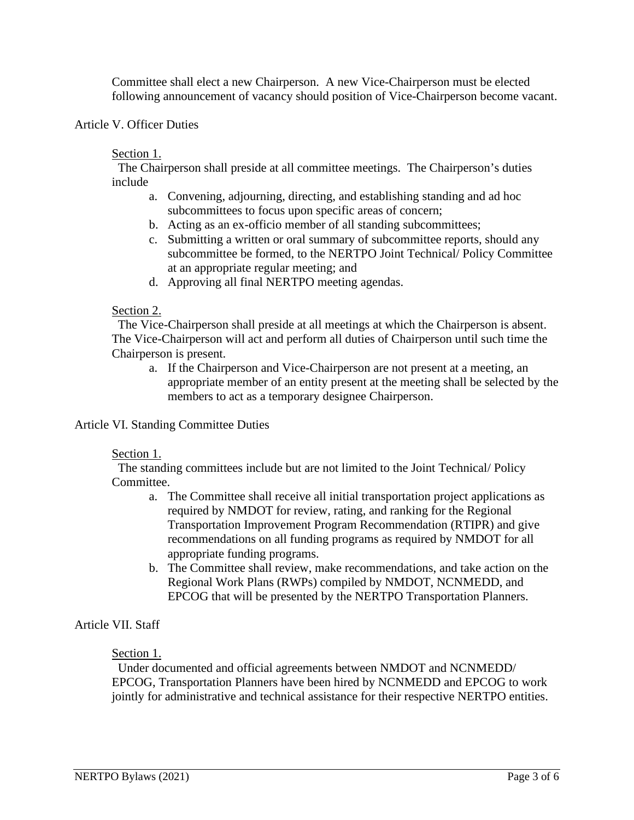Committee shall elect a new Chairperson. A new Vice-Chairperson must be elected following announcement of vacancy should position of Vice-Chairperson become vacant.

Article V. Officer Duties

Section 1.

 The Chairperson shall preside at all committee meetings. The Chairperson's duties include

- a. Convening, adjourning, directing, and establishing standing and ad hoc subcommittees to focus upon specific areas of concern;
- b. Acting as an ex-officio member of all standing subcommittees;
- c. Submitting a written or oral summary of subcommittee reports, should any subcommittee be formed, to the NERTPO Joint Technical/ Policy Committee at an appropriate regular meeting; and
- d. Approving all final NERTPO meeting agendas.

### Section 2.

 The Vice-Chairperson shall preside at all meetings at which the Chairperson is absent. The Vice-Chairperson will act and perform all duties of Chairperson until such time the Chairperson is present.

a. If the Chairperson and Vice-Chairperson are not present at a meeting, an appropriate member of an entity present at the meeting shall be selected by the members to act as a temporary designee Chairperson.

### Article VI. Standing Committee Duties

### Section 1.

 The standing committees include but are not limited to the Joint Technical/ Policy Committee.

- a. The Committee shall receive all initial transportation project applications as required by NMDOT for review, rating, and ranking for the Regional Transportation Improvement Program Recommendation (RTIPR) and give recommendations on all funding programs as required by NMDOT for all appropriate funding programs.
- b. The Committee shall review, make recommendations, and take action on the Regional Work Plans (RWPs) compiled by NMDOT, NCNMEDD, and EPCOG that will be presented by the NERTPO Transportation Planners.

### Article VII. Staff

### Section 1.

 Under documented and official agreements between NMDOT and NCNMEDD/ EPCOG, Transportation Planners have been hired by NCNMEDD and EPCOG to work jointly for administrative and technical assistance for their respective NERTPO entities.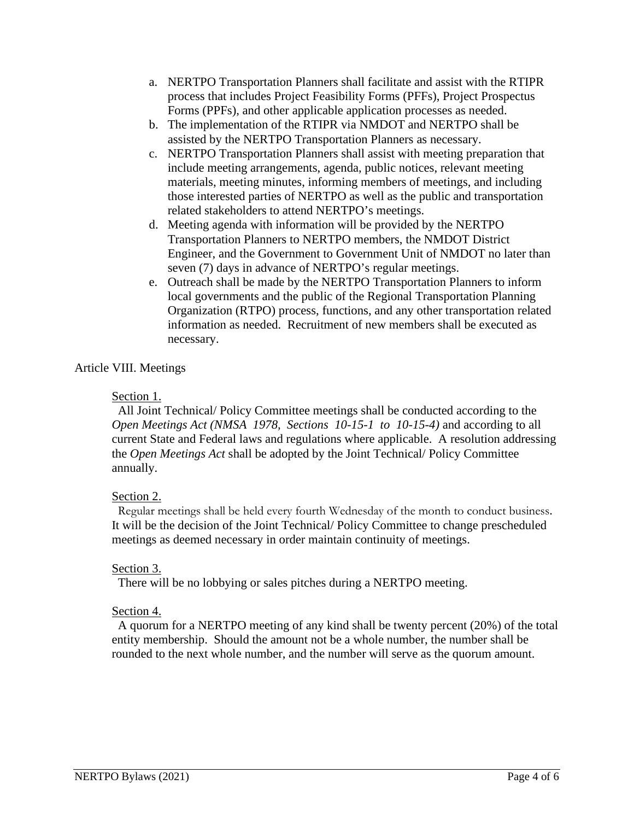- a. NERTPO Transportation Planners shall facilitate and assist with the RTIPR process that includes Project Feasibility Forms (PFFs), Project Prospectus Forms (PPFs), and other applicable application processes as needed.
- b. The implementation of the RTIPR via NMDOT and NERTPO shall be assisted by the NERTPO Transportation Planners as necessary.
- c. NERTPO Transportation Planners shall assist with meeting preparation that include meeting arrangements, agenda, public notices, relevant meeting materials, meeting minutes, informing members of meetings, and including those interested parties of NERTPO as well as the public and transportation related stakeholders to attend NERTPO's meetings.
- d. Meeting agenda with information will be provided by the NERTPO Transportation Planners to NERTPO members, the NMDOT District Engineer, and the Government to Government Unit of NMDOT no later than seven (7) days in advance of NERTPO's regular meetings.
- e. Outreach shall be made by the NERTPO Transportation Planners to inform local governments and the public of the Regional Transportation Planning Organization (RTPO) process, functions, and any other transportation related information as needed. Recruitment of new members shall be executed as necessary.

### Article VIII. Meetings

### Section 1.

 All Joint Technical/ Policy Committee meetings shall be conducted according to the *Open Meetings Act (NMSA 1978, Sections 10-15-1 to 10-15-4)* and according to all current State and Federal laws and regulations where applicable. A resolution addressing the *Open Meetings Act* shall be adopted by the Joint Technical/ Policy Committee annually.

## Section 2.

 Regular meetings shall be held every fourth Wednesday of the month to conduct business. It will be the decision of the Joint Technical/ Policy Committee to change prescheduled meetings as deemed necessary in order maintain continuity of meetings.

### Section 3.

There will be no lobbying or sales pitches during a NERTPO meeting.

### Section 4.

 A quorum for a NERTPO meeting of any kind shall be twenty percent (20%) of the total entity membership. Should the amount not be a whole number, the number shall be rounded to the next whole number, and the number will serve as the quorum amount.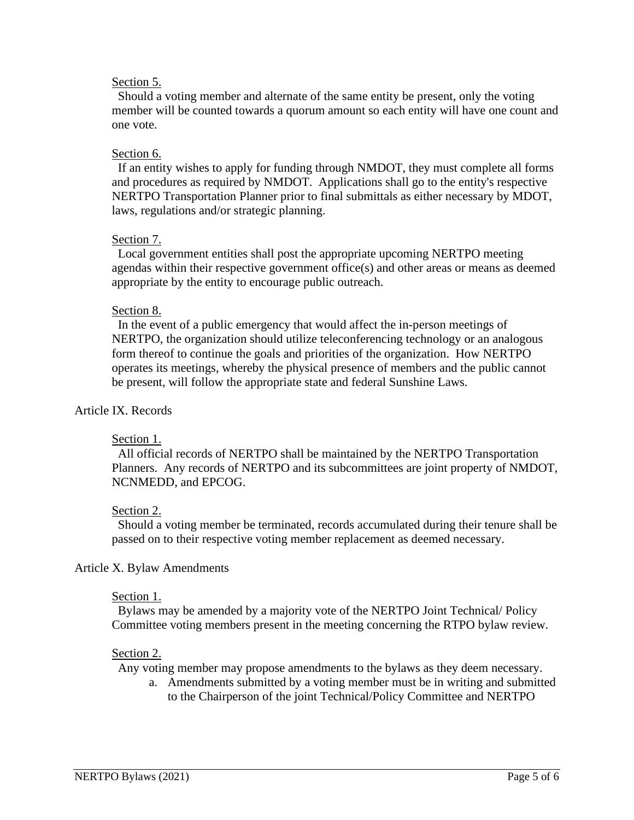### Section 5.

 Should a voting member and alternate of the same entity be present, only the voting member will be counted towards a quorum amount so each entity will have one count and one vote.

### Section 6.

 If an entity wishes to apply for funding through NMDOT, they must complete all forms and procedures as required by NMDOT. Applications shall go to the entity's respective NERTPO Transportation Planner prior to final submittals as either necessary by MDOT, laws, regulations and/or strategic planning.

### Section 7.

 Local government entities shall post the appropriate upcoming NERTPO meeting agendas within their respective government office(s) and other areas or means as deemed appropriate by the entity to encourage public outreach.

### Section 8.

 In the event of a public emergency that would affect the in-person meetings of NERTPO, the organization should utilize teleconferencing technology or an analogous form thereof to continue the goals and priorities of the organization. How NERTPO operates its meetings, whereby the physical presence of members and the public cannot be present, will follow the appropriate state and federal Sunshine Laws.

### Article IX. Records

### Section 1.

 All official records of NERTPO shall be maintained by the NERTPO Transportation Planners. Any records of NERTPO and its subcommittees are joint property of NMDOT, NCNMEDD, and EPCOG.

### Section 2.

 Should a voting member be terminated, records accumulated during their tenure shall be passed on to their respective voting member replacement as deemed necessary.

### Article X. Bylaw Amendments

### Section 1.

 Bylaws may be amended by a majority vote of the NERTPO Joint Technical/ Policy Committee voting members present in the meeting concerning the RTPO bylaw review.

### Section 2.

Any voting member may propose amendments to the bylaws as they deem necessary.

a. Amendments submitted by a voting member must be in writing and submitted to the Chairperson of the joint Technical/Policy Committee and NERTPO